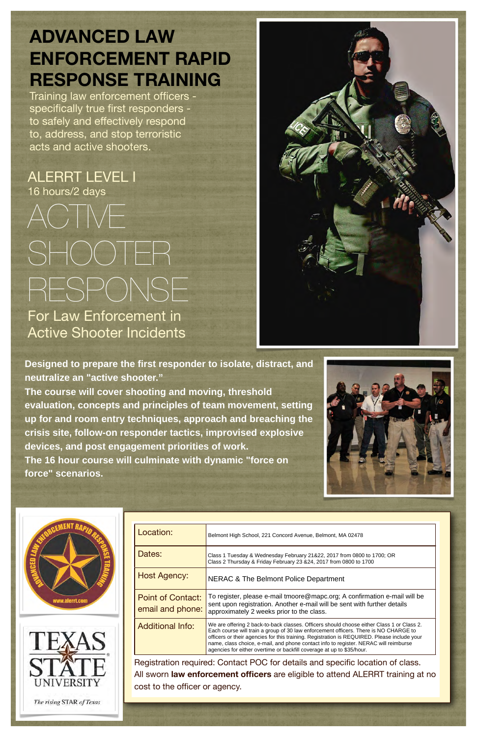**Designed to prepare the first responder to isolate, distract, and neutralize an "active shooter."** 

**The course will cover shooting and moving, threshold evaluation, concepts and principles of team movement, setting up for and room entry techniques, approach and breaching the crisis site, follow-on responder tactics, improvised explosive devices, and post engagement priorities of work. The 16 hour course will culminate with dynamic "force on force" scenarios.** 





Location:

Belmont High School, 221 Concord Avenue, Belmont, MA 02478



The rising STAR of Texas

ALERRT LEVEL I 16 hours/2 days

## ACTIVE SHOOTER RESPONSE For Law Enforcement in Active Shooter Incidents



## **ADVANCED LAW ENFORCEMENT RAPID RESPONSE TRAINING**

Training law enforcement officers specifically true first responders to safely and effectively respond to, address, and stop terroristic acts and active shooters.

| Dates:                                                                                 | Class 1 Tuesday & Wednesday February 21&22, 2017 from 0800 to 1700; OR<br>Class 2 Thursday & Friday February 23 & 24, 2017 from 0800 to 1700                                                                                                                                                                                                                                                                                                      |  |
|----------------------------------------------------------------------------------------|---------------------------------------------------------------------------------------------------------------------------------------------------------------------------------------------------------------------------------------------------------------------------------------------------------------------------------------------------------------------------------------------------------------------------------------------------|--|
| <b>Host Agency:</b>                                                                    | NERAC & The Belmont Police Department                                                                                                                                                                                                                                                                                                                                                                                                             |  |
| <b>Point of Contact:</b><br>email and phone:                                           | To register, please e-mail tmoore@mapc.org; A confirmation e-mail will be<br>sent upon registration. Another e-mail will be sent with further details<br>approximately 2 weeks prior to the class.                                                                                                                                                                                                                                                |  |
| <b>Additional Info:</b>                                                                | We are offering 2 back-to-back classes. Officers should choose either Class 1 or Class 2.<br>Each course will train a group of 30 law enforcement officers. There is NO CHARGE to<br>officers or their agencies for this training. Registration is REQUIRED. Please include your<br>name, class choice, e-mail, and phone contact info to register. NERAC will reimburse<br>agencies for either overtime or backfill coverage at up to \$35/hour. |  |
| Registration required: Contact POC for details and specific location of class.         |                                                                                                                                                                                                                                                                                                                                                                                                                                                   |  |
| All sworn <b>law enforcement officers</b> are eligible to attend ALERRT training at no |                                                                                                                                                                                                                                                                                                                                                                                                                                                   |  |
| cost to the officer or agency.                                                         |                                                                                                                                                                                                                                                                                                                                                                                                                                                   |  |